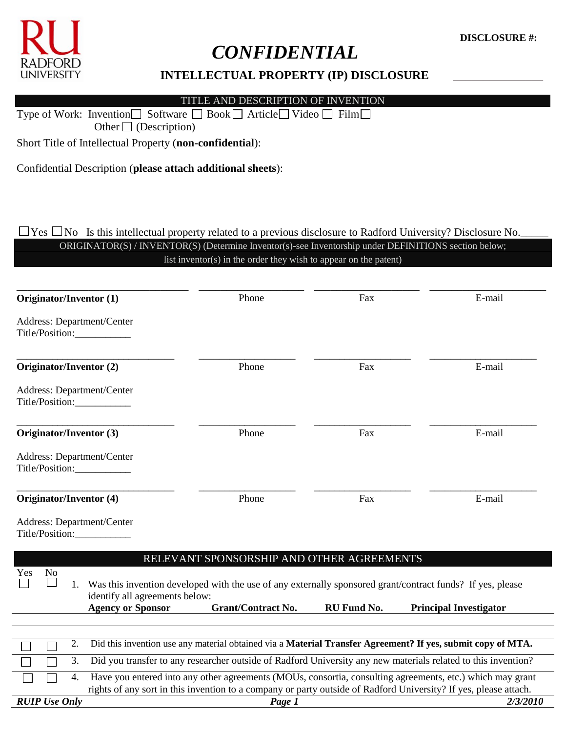

# *CONFIDENTIAL*

## **INTELLECTUAL PROPERTY (IP) DISCLOSURE** \_\_\_\_\_\_\_\_\_\_\_\_\_\_\_

TITLE AND DESCRIPTION OF INVENTION

Type of Work: Invention  $\Box$  Software  $\Box$  Book  $\Box$  Article  $\Box$  Video  $\Box$  Film  $\Box$ Other  $\Box$  (Description)

Short Title of Intellectual Property (**non-confidential**):

Confidential Description (**please attach additional sheets**):

## $\Box$  Yes  $\Box$  No Is this intellectual property related to a previous disclosure to Radford University? Disclosure No. ORIGINATOR(S) / INVENTOR(S) (Determine Inventor(s)-see Inventorship under DEFINITIONS section below; list inventor(s) in the order they wish to appear on the patent)

| Originator/Inventor (1)                       |                                                            | Phone                                     | Fax         | E-mail                                                                                                                                      |
|-----------------------------------------------|------------------------------------------------------------|-------------------------------------------|-------------|---------------------------------------------------------------------------------------------------------------------------------------------|
| Address: Department/Center<br>Title/Position: |                                                            |                                           |             |                                                                                                                                             |
| Originator/Inventor (2)                       |                                                            | Phone                                     | Fax         | E-mail                                                                                                                                      |
| Address: Department/Center<br>Title/Position: |                                                            |                                           |             |                                                                                                                                             |
| Originator/Inventor (3)                       |                                                            | Phone                                     | Fax         | E-mail                                                                                                                                      |
| <b>Address: Department/Center</b>             |                                                            |                                           |             |                                                                                                                                             |
| Originator/Inventor (4)                       |                                                            | Phone                                     | Fax         | E-mail                                                                                                                                      |
| Address: Department/Center<br>Title/Position: |                                                            |                                           |             |                                                                                                                                             |
|                                               |                                                            | RELEVANT SPONSORSHIP AND OTHER AGREEMENTS |             |                                                                                                                                             |
| Yes<br>N <sub>o</sub><br>1.                   | identify all agreements below:<br><b>Agency or Sponsor</b> | <b>Grant/Contract No.</b>                 | RU Fund No. | Was this invention developed with the use of any externally sponsored grant/contract funds? If yes, please<br><b>Principal Investigator</b> |
|                                               |                                                            |                                           |             |                                                                                                                                             |
| 2.                                            |                                                            |                                           |             | Did this invention use any material obtained via a Material Transfer Agreement? If yes, submit copy of MTA.                                 |
| 3.                                            |                                                            |                                           |             | Did you transfer to any researcher outside of Radford University any new materials related to this invention?                               |
| 4.                                            |                                                            |                                           |             | Have you entered into any other agreements (MOUs, consortia, consulting agreements, etc.) which may grant                                   |
|                                               |                                                            |                                           |             | rights of any sort in this invention to a company or party outside of Radford University? If yes, please attach.                            |
| <b>RUIP Use Only</b>                          |                                                            | Page 1                                    |             | 2/3/2010                                                                                                                                    |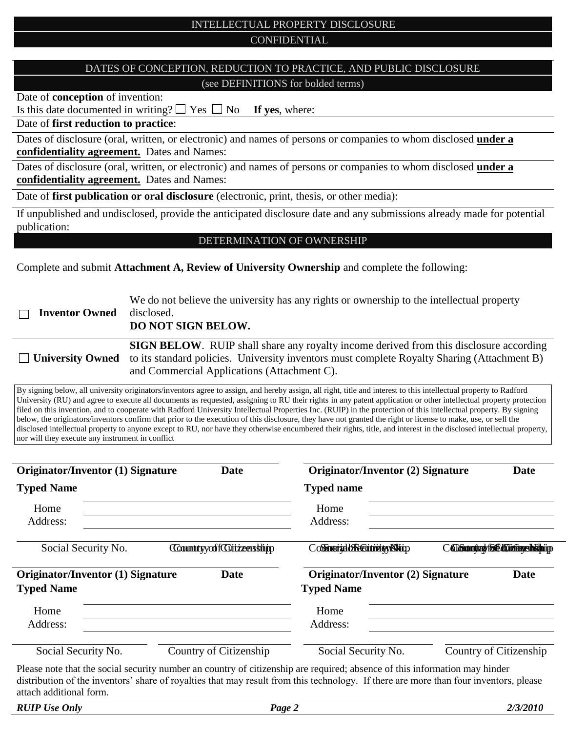## INTELLECTUAL PROPERTY DISCLOSURE CONFIDENTIAL

## DATES OF CONCEPTION, REDUCTION TO PRACTICE, AND PUBLIC DISCLOSURE (see DEFINITIONS for bolded terms)

Date of **conception** of invention:

Is this date documented in writing?  $\Box$  Yes  $\Box$  No **If yes**, where:

Date of **first reduction to practice**:

Dates of disclosure (oral, written, or electronic) and names of persons or companies to whom disclosed **under a confidentiality agreement.** Dates and Names:

Dates of disclosure (oral, written, or electronic) and names of persons or companies to whom disclosed **under a confidentiality agreement.** Dates and Names:

Date of **first publication or oral disclosure** (electronic, print, thesis, or other media):

If unpublished and undisclosed, provide the anticipated disclosure date and any submissions already made for potential publication:

#### DETERMINATION OF OWNERSHIP

Complete and submit **Attachment A, Review of University Ownership** and complete the following:

| <b>Inventor Owned</b> | We do not believe the university has any rights or ownership to the intellectual property<br>disclosed.<br><b>DO NOT SIGN BELOW.</b>                                                                                                                                |
|-----------------------|---------------------------------------------------------------------------------------------------------------------------------------------------------------------------------------------------------------------------------------------------------------------|
|                       | <b>SIGN BELOW.</b> RUIP shall share any royalty income derived from this disclosure according<br>$\Box$ University Owned to its standard policies. University inventors must complete Royalty Sharing (Attachment B)<br>and Commercial Applications (Attachment C). |

By signing below, all university originators/inventors agree to assign, and hereby assign, all right, title and interest to this intellectual property to Radford University (RU) and agree to execute all documents as requested, assigning to RU their rights in any patent application or other intellectual property protection filed on this invention, and to cooperate with Radford University Intellectual Properties Inc. (RUIP) in the protection of this intellectual property. By signing below, the originators/inventors confirm that prior to the execution of this disclosure, they have not granted the right or license to make, use, or sell the disclosed intellectual property to anyone except to RU, nor have they otherwise encumbered their rights, title, and interest in the disclosed intellectual property, nor will they execute any instrument in conflict

| <b>Originator/Inventor (1) Signature</b>                      | <b>Date</b>            | <b>Originator/Inventor (2) Signature</b>                                                                                                                                                                                          |                                | Date |
|---------------------------------------------------------------|------------------------|-----------------------------------------------------------------------------------------------------------------------------------------------------------------------------------------------------------------------------------|--------------------------------|------|
| <b>Typed Name</b>                                             |                        | <b>Typed name</b>                                                                                                                                                                                                                 |                                |      |
| Home                                                          |                        | Home                                                                                                                                                                                                                              |                                |      |
| Address:                                                      |                        | Address:                                                                                                                                                                                                                          |                                |      |
| Social Security No.                                           | CountryoffGitzership   | CoffratrialbSecutivity/Napp                                                                                                                                                                                                       | C Gibraniary fol Circumship in |      |
| <b>Originator/Inventor (1) Signature</b><br><b>Typed Name</b> | <b>Date</b>            | <b>Originator/Inventor (2) Signature</b><br><b>Typed Name</b>                                                                                                                                                                     |                                | Date |
| Home                                                          |                        | Home                                                                                                                                                                                                                              |                                |      |
| Address:                                                      |                        | Address:                                                                                                                                                                                                                          |                                |      |
| Social Security No.                                           | Country of Citizenship | Social Security No.                                                                                                                                                                                                               | Country of Citizenship         |      |
|                                                               |                        | $\mathbf{D}$ and the state of the contraction of the state of the state of the state of the state of the state of the state of the state of the state of the state of the state of the state of the state of the state of the sta |                                |      |

Please note that the social security number an country of citizenship are required; absence of this information may hinder distribution of the inventors' share of royalties that may result from this technology. If there are more than four inventors, please attach additional form.

| <b>RUIP Use Only</b> | <b>Page</b> 2 | 2/3/2010 |
|----------------------|---------------|----------|
|                      |               |          |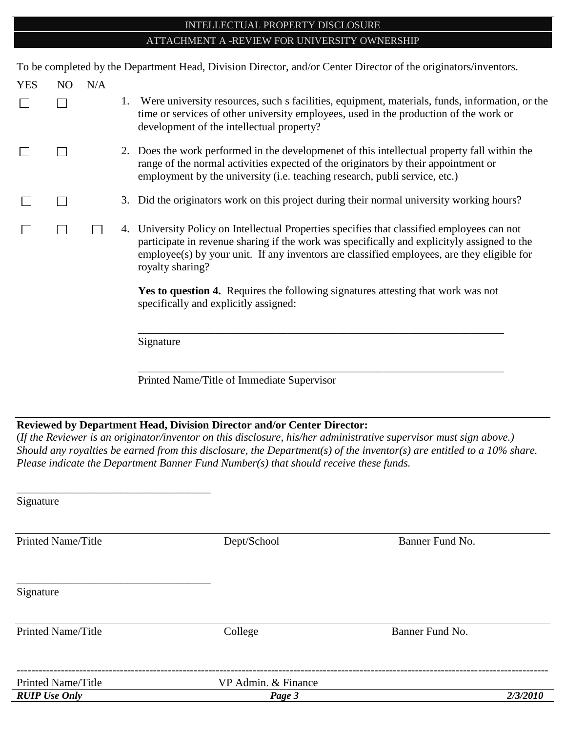## INTELLECTUAL PROPERTY DISCLOSURE ATTACHMENT A -REVIEW FOR UNIVERSITY OWNERSHIP

To be completed by the Department Head, Division Director, and/or Center Director of the originators/inventors.

| <b>YES</b> | N <sub>O</sub> | N/A |                                                                                                                                                                                                                                                                                                              |
|------------|----------------|-----|--------------------------------------------------------------------------------------------------------------------------------------------------------------------------------------------------------------------------------------------------------------------------------------------------------------|
|            |                |     | Were university resources, such a facilities, equipment, materials, funds, information, or the<br>time or services of other university employees, used in the production of the work or<br>development of the intellectual property?                                                                         |
|            |                |     | 2. Does the work performed in the developmenet of this intellectual property fall within the<br>range of the normal activities expected of the originators by their appointment or<br>employment by the university (i.e. teaching research, publi service, etc.)                                             |
|            |                |     | 3. Did the originators work on this project during their normal university working hours?                                                                                                                                                                                                                    |
|            |                |     | 4. University Policy on Intellectual Properties specifies that classified employees can not<br>participate in revenue sharing if the work was specifically and explicityly assigned to the<br>employee(s) by your unit. If any inventors are classified employees, are they eligible for<br>royalty sharing? |
|            |                |     | Yes to question 4. Requires the following signatures attesting that work was not<br>specifically and explicitly assigned:                                                                                                                                                                                    |
|            |                |     | Signature                                                                                                                                                                                                                                                                                                    |

Printed Name/Title of Immediate Supervisor

# **Reviewed by Department Head, Division Director and/or Center Director:**

(*If the Reviewer is an originator/inventor on this disclosure, his/her administrative supervisor must sign above.) Should any royalties be earned from this disclosure, the Department(s) of the inventor(s) are entitled to a 10% share. Please indicate the Department Banner Fund Number(s) that should receive these funds.*

\_\_\_\_\_\_\_\_\_\_\_\_\_\_\_\_\_\_\_\_\_\_\_\_\_\_\_\_\_\_\_\_\_\_\_\_\_\_\_\_\_\_\_\_\_\_\_\_\_\_\_\_\_\_\_\_\_\_\_\_\_\_\_\_\_\_

| Signature                 |                     |                 |          |
|---------------------------|---------------------|-----------------|----------|
| <b>Printed Name/Title</b> |                     |                 |          |
|                           | Dept/School         | Banner Fund No. |          |
| Signature                 |                     |                 |          |
| <b>Printed Name/Title</b> | College             | Banner Fund No. |          |
| <b>Printed Name/Title</b> | VP Admin. & Finance |                 |          |
| <b>RUIP Use Only</b>      | Page 3              |                 | 2/3/2010 |
|                           |                     |                 |          |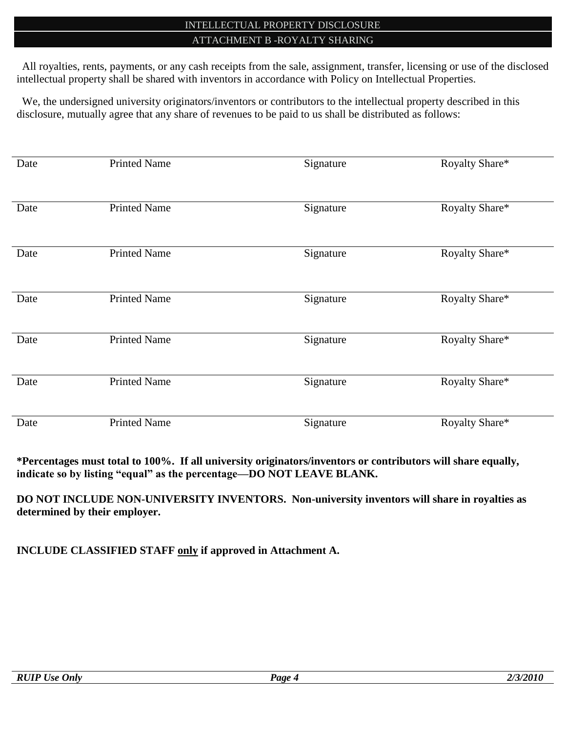## INTELLECTUAL PROPERTY DISCLOSURE ATTACHMENT B -ROYALTY SHARING

 All royalties, rents, payments, or any cash receipts from the sale, assignment, transfer, licensing or use of the disclosed intellectual property shall be shared with inventors in accordance with Policy on Intellectual Properties.

 We, the undersigned university originators/inventors or contributors to the intellectual property described in this disclosure, mutually agree that any share of revenues to be paid to us shall be distributed as follows:

| Date | <b>Printed Name</b> | Signature | Royalty Share* |
|------|---------------------|-----------|----------------|
| Date | <b>Printed Name</b> | Signature | Royalty Share* |
| Date | <b>Printed Name</b> | Signature | Royalty Share* |
| Date | <b>Printed Name</b> | Signature | Royalty Share* |
| Date | <b>Printed Name</b> | Signature | Royalty Share* |
| Date | <b>Printed Name</b> | Signature | Royalty Share* |
| Date | <b>Printed Name</b> | Signature | Royalty Share* |

**\*Percentages must total to 100%. If all university originators/inventors or contributors will share equally, indicate so by listing "equal" as the percentage—DO NOT LEAVE BLANK.**

**DO NOT INCLUDE NON-UNIVERSITY INVENTORS. Non-university inventors will share in royalties as determined by their employer.**

**INCLUDE CLASSIFIED STAFF only if approved in Attachment A.**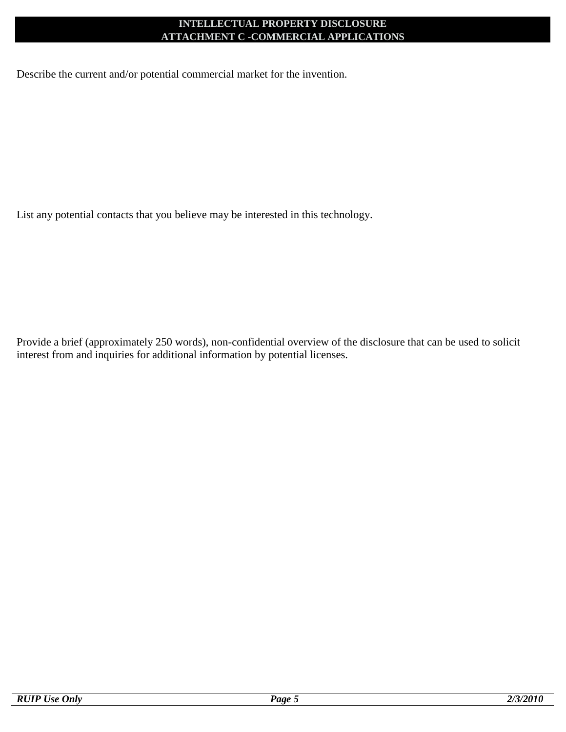## **INTELLECTUAL PROPERTY DISCLOSURE ATTACHMENT C -COMMERCIAL APPLICATIONS**

Describe the current and/or potential commercial market for the invention.

List any potential contacts that you believe may be interested in this technology.

Provide a brief (approximately 250 words), non-confidential overview of the disclosure that can be used to solicit interest from and inquiries for additional information by potential licenses.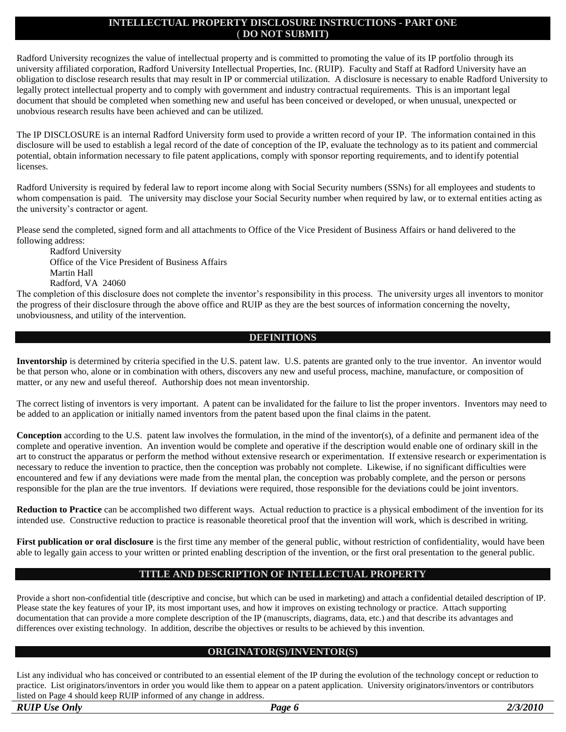#### **INTELLECTUAL PROPERTY DISCLOSURE INSTRUCTIONS - PART ONE** ( **DO NOT SUBMIT)**

Radford University recognizes the value of intellectual property and is committed to promoting the value of its IP portfolio through its university affiliated corporation, Radford University Intellectual Properties, Inc. (RUIP). Faculty and Staff at Radford University have an obligation to disclose research results that may result in IP or commercial utilization. A disclosure is necessary to enable Radford University to legally protect intellectual property and to comply with government and industry contractual requirements. This is an important legal document that should be completed when something new and useful has been conceived or developed, or when unusual, unexpected or unobvious research results have been achieved and can be utilized.

The IP DISCLOSURE is an internal Radford University form used to provide a written record of your IP. The information contained in this disclosure will be used to establish a legal record of the date of conception of the IP, evaluate the technology as to its patient and commercial potential, obtain information necessary to file patent applications, comply with sponsor reporting requirements, and to identify potential licenses.

Radford University is required by federal law to report income along with Social Security numbers (SSNs) for all employees and students to whom compensation is paid. The university may disclose your Social Security number when required by law, or to external entities acting as the university's contractor or agent.

Please send the completed, signed form and all attachments to Office of the Vice President of Business Affairs or hand delivered to the following address:

Radford University Office of the Vice President of Business Affairs Martin Hall Radford, VA 24060

The completion of this disclosure does not complete the inventor's responsibility in this process. The university urges all inventors to monitor the progress of their disclosure through the above office and RUIP as they are the best sources of information concerning the novelty, unobviousness, and utility of the intervention.

#### **DEFINITIONS**

**Inventorship** is determined by criteria specified in the U.S. patent law. U.S. patents are granted only to the true inventor. An inventor would be that person who, alone or in combination with others, discovers any new and useful process, machine, manufacture, or composition of matter, or any new and useful thereof. Authorship does not mean inventorship.

The correct listing of inventors is very important. A patent can be invalidated for the failure to list the proper inventors. Inventors may need to be added to an application or initially named inventors from the patent based upon the final claims in the patent.

**Conception** according to the U.S. patent law involves the formulation, in the mind of the inventor(s), of a definite and permanent idea of the complete and operative invention. An invention would be complete and operative if the description would enable one of ordinary skill in the art to construct the apparatus or perform the method without extensive research or experimentation. If extensive research or experimentation is necessary to reduce the invention to practice, then the conception was probably not complete. Likewise, if no significant difficulties were encountered and few if any deviations were made from the mental plan, the conception was probably complete, and the person or persons responsible for the plan are the true inventors. If deviations were required, those responsible for the deviations could be joint inventors.

**Reduction to Practice** can be accomplished two different ways. Actual reduction to practice is a physical embodiment of the invention for its intended use. Constructive reduction to practice is reasonable theoretical proof that the invention will work, which is described in writing.

**First publication or oral disclosure** is the first time any member of the general public, without restriction of confidentiality, would have been able to legally gain access to your written or printed enabling description of the invention, or the first oral presentation to the general public.

#### **TITLE AND DESCRIPTION OF INTELLECTUAL PROPERTY**

Provide a short non-confidential title (descriptive and concise, but which can be used in marketing) and attach a confidential detailed description of IP. Please state the key features of your IP, its most important uses, and how it improves on existing technology or practice. Attach supporting documentation that can provide a more complete description of the IP (manuscripts, diagrams, data, etc.) and that describe its advantages and differences over existing technology. In addition, describe the objectives or results to be achieved by this invention.

#### **ORIGINATOR(S)/INVENTOR(S)**

List any individual who has conceived or contributed to an essential element of the IP during the evolution of the technology concept or reduction to practice. List originators/inventors in order you would like them to appear on a patent application. University originators/inventors or contributors listed on Page 4 should keep RUIP informed of any change in address.